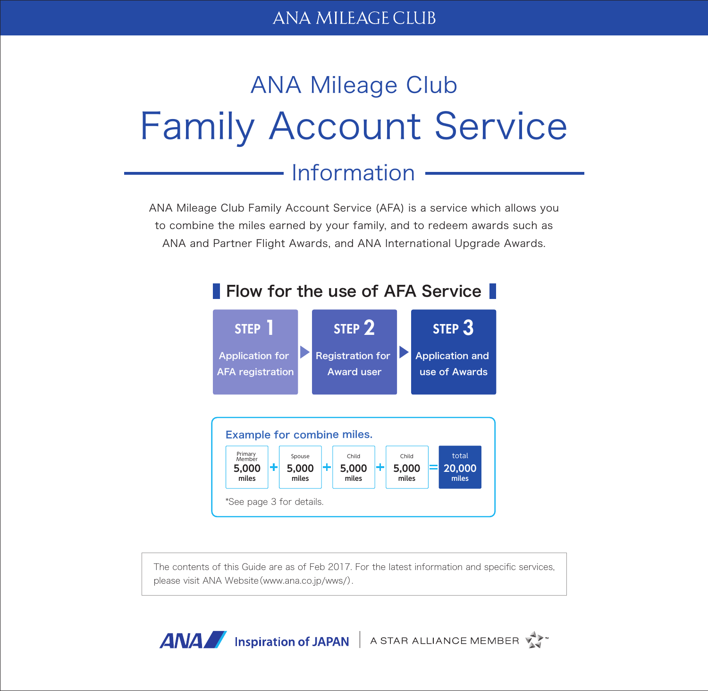## ANA MILEAGE CILIB

# ANA Mileage Club Family Account Service

# Information

ANA Mileage Club Family Account Service (AFA) is a service which allows you to combine the miles earned by your family, and to redeem awards such as ANA and Partner Flight Awards, and ANA International Upgrade Awards.



The contents of this Guide are as of Feb 2017. For the latest information and specific services, please visit ANA Website(www.ana.co.jp/wws/).

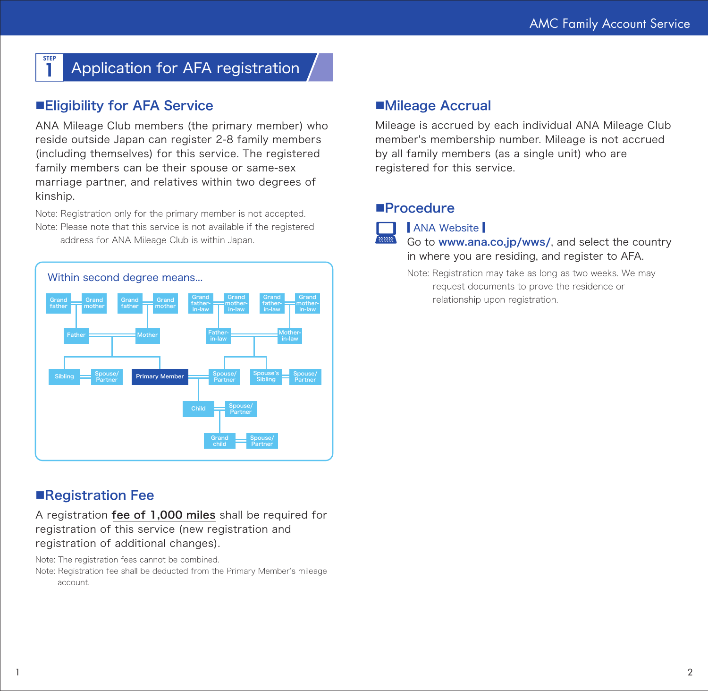#### STEP Application for AFA registration

## ■Eligibility for AFA Service

ANA Mileage Club members (the primary member) who reside outside Japan can register 2-8 family members (including themselves) for this service. The registered family members can be their spouse or same-sex marriage partner, and relatives within two degrees of kinship.

Note: Registration only for the primary member is not accepted. Note: Please note that this service is not available if the registered address for ANA Mileage Club is within Japan.



## ■Registration Fee

A registration fee of 1,000 miles shall be required for registration of this service (new registration and registration of additional changes).

Note: The registration fees cannot be combined.

Note: Registration fee shall be deducted from the Primary Member's mileage account.

## ■Mileage Accrual

Mileage is accrued by each individual ANA Mileage Club member's membership number. Mileage is not accrued by all family members (as a single unit) who are registered for this service.

## ■Procedure



ANA Website

Go to www.ana.co.jp/wws/, and select the country in where you are residing, and register to AFA.

Note: Registration may take as long as two weeks. We may request documents to prove the residence or relationship upon registration.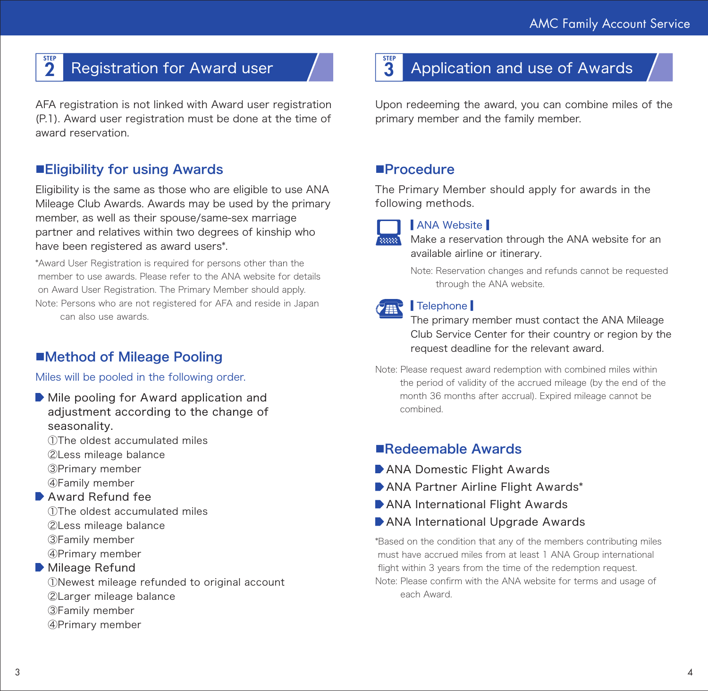### **STEP Registration for Award user**

AFA registration is not linked with Award user registration (P.1). Award user registration must be done at the time of award reservation.

## ■Eligibility for using Awards

Eligibility is the same as those who are eligible to use ANA Mileage Club Awards. Awards may be used by the primary member, as well as their spouse/same-sex marriage partner and relatives within two degrees of kinship who have been registered as award users\*.

\*Award User Registration is required for persons other than the member to use awards. Please refer to the ANA website for details on Award User Registration. The Primary Member should apply. Note: Persons who are not registered for AFA and reside in Japan can also use awards.

## ■Method of Mileage Pooling

## Miles will be pooled in the following order.

Mile pooling for Award application and adjustment according to the change of seasonality.

①The oldest accumulated miles

- ②Less mileage balance
- ③Primary member
- ④Family member

## ▶ Award Refund fee

①The oldest accumulated miles ②Less mileage balance ③Family member ④Primary member

## ■ Mileage Refund

①Newest mileage refunded to original account⦆ ②Larger mileage balance ③Family member ④Primary member

## Application and use of Awards

Upon redeeming the award, you can combine miles of the primary member and the family member.

## ■Procedure

The Primary Member should apply for awards in the following methods.



STEP<br>3

## **ANA Website**

Make a reservation through the ANA website for an available airline or itinerary.

Note: Reservation changes and refunds cannot be requested through the ANA website.

## Telephone

The primary member must contact the ANA Mileage Club Service Center for their country or region by the request deadline for the relevant award.

Note: Please request award redemption with combined miles within the period of validity of the accrued mileage (by the end of the month 36 months after accrual). Expired mileage cannot be combined.

## ■Redeemable Awards

- ANA Domestic Flight Awards
- ANA Partner Airline Flight Awards\*
- ANA International Flight Awards
- **ANA International Upgrade Awards**

\*Based on the condition that any of the members contributing miles must have accrued miles from at least 1 ANA Group international flight within 3 years from the time of the redemption request. Note: Please confirm with the ANA website for terms and usage of each Award.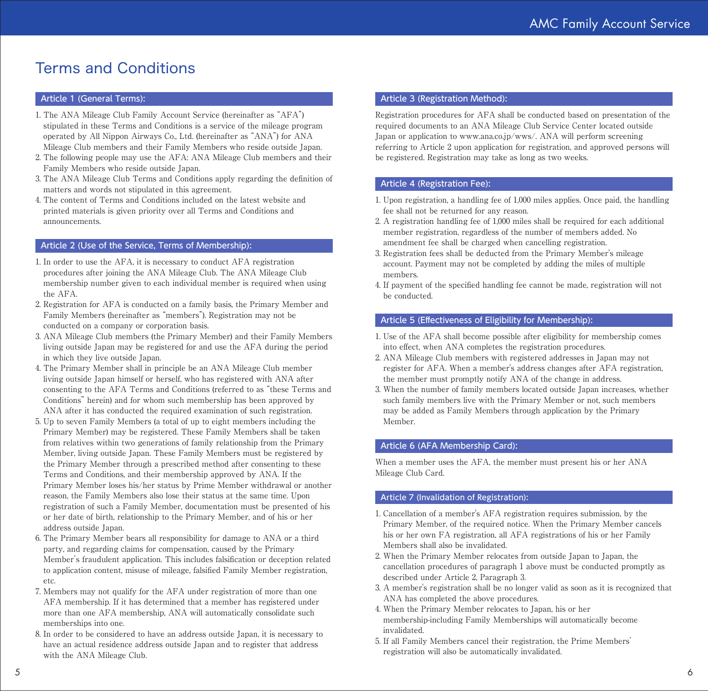## Terms and Conditions

#### Article 1 (General Terms):

- 1. The ANA Mileage Club Family Account Service (hereinafter as "AFA") stipulated in these Terms and Conditions is a service of the mileage program operated by All Nippon Airways Co., Ltd. (hereinafter as "ANA") for ANA Mileage Club members and their Family Members who reside outside Japan.
- 2. The following people may use the AFA: ANA Mileage Club members and their Family Members who reside outside Japan.
- 3. The ANA Mileage Club Terms and Conditions apply regarding the definition of matters and words not stipulated in this agreement.
- 4. The content of Terms and Conditions included on the latest website and printed materials is given priority over all Terms and Conditions and announcements.

#### Article 2 (Use of the Service, Terms of Membership):

- 1. In order to use the AFA, it is necessary to conduct AFA registration procedures after joining the ANA Mileage Club. The ANA Mileage Club membership number given to each individual member is required when using the AFA.
- 2. Registration for AFA is conducted on a family basis, the Primary Member and Family Members (hereinafter as "members"). Registration may not be conducted on a company or corporation basis.
- 3. ANA Mileage Club members (the Primary Member) and their Family Members living outside Japan may be registered for and use the AFA during the period in which they live outside Japan.
- 4. The Primary Member shall in principle be an ANA Mileage Club member living outside Japan himself or herself, who has registered with ANA after consenting to the AFA Terms and Conditions (referred to as "these Terms and Conditions" herein) and for whom such membership has been approved by ANA after it has conducted the required examination of such registration.
- 5. Up to seven Family Members (a total of up to eight members including the Primary Member) may be registered. These Family Members shall be taken from relatives within two generations of family relationship from the Primary Member, living outside Japan. These Family Members must be registered by the Primary Member through a prescribed method after consenting to these Terms and Conditions, and their membership approved by ANA. If the Primary Member loses his/her status by Prime Member withdrawal or another reason, the Family Members also lose their status at the same time. Upon registration of such a Family Member, documentation must be presented of his or her date of birth, relationship to the Primary Member, and of his or her address outside Japan.
- 6. The Primary Member bears all responsibility for damage to ANA or a third party, and regarding claims for compensation, caused by the Primary Member's fraudulent application. This includes falsification or deception related to application content, misuse of mileage, falsified Family Member registration, etc.
- 7. Members may not qualify for the AFA under registration of more than one AFA membership. If it has determined that a member has registered under more than one AFA membership, ANA will automatically consolidate such memberships into one.
- 8. In order to be considered to have an address outside Japan, it is necessary to have an actual residence address outside Japan and to register that address with the ANA Mileage Club.

#### Article 3 (Registration Method):

Registration procedures for AFA shall be conducted based on presentation of the required documents to an ANA Mileage Club Service Center located outside Japan or application to www.ana.co.jp/wws/. ANA will perform screening referring to Article 2 upon application for registration, and approved persons will be registered. Registration may take as long as two weeks.

#### Article 4 (Registration Fee):

- 1. Upon registration, a handling fee of 1,000 miles applies. Once paid, the handling fee shall not be returned for any reason.
- 2. A registration handling fee of 1,000 miles shall be required for each additional member registration, regardless of the number of members added. No amendment fee shall be charged when cancelling registration.
- 3. Registration fees shall be deducted from the Primary Member's mileage account. Payment may not be completed by adding the miles of multiple members.
- 4. If payment of the specified handling fee cannot be made, registration will not be conducted.

#### Article 5 (Effectiveness of Eligibility for Membership):

- 1. Use of the AFA shall become possible after eligibility for membership comes into effect, when ANA completes the registration procedures.
- 2. ANA Mileage Club members with registered addresses in Japan may not register for AFA. When a member's address changes after AFA registration, the member must promptly notify ANA of the change in address.
- 3. When the number of family members located outside Japan increases, whether such family members live with the Primary Member or not, such members may be added as Family Members through application by the Primary Member.

#### Article 6 (AFA Membership Card):

When a member uses the AFA, the member must present his or her ANA Mileage Club Card.

#### Article 7 (Invalidation of Registration):

- 1. Cancellation of a member's AFA registration requires submission, by the Primary Member, of the required notice. When the Primary Member cancels his or her own FA registration, all AFA registrations of his or her Family Members shall also be invalidated.
- 2. When the Primary Member relocates from outside Japan to Japan, the cancellation procedures of paragraph 1 above must be conducted promptly as described under Article 2, Paragraph 3.
- 3. A member's registration shall be no longer valid as soon as it is recognized that ANA has completed the above procedures.
- 4. When the Primary Member relocates to Japan, his or her membership-including Family Memberships will automatically become invalidated.
- 5. If all Family Members cancel their registration, the Prime Members' registration will also be automatically invalidated.